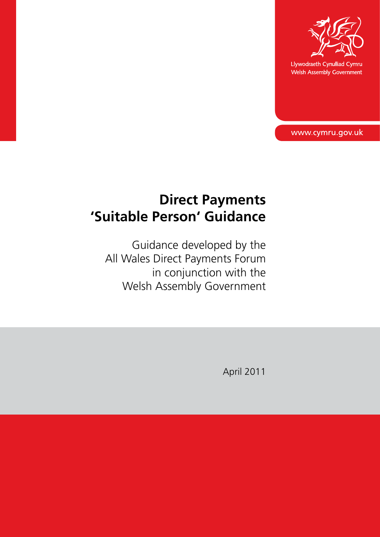

Llywodraeth Cynulliad Cymru Welsh Assembly Government

www.cymru.gov.uk

# **Direct Payments 'Suitable Person' Guidance**

Guidance developed by the All Wales Direct Payments Forum in conjunction with the Welsh Assembly Government

April 2011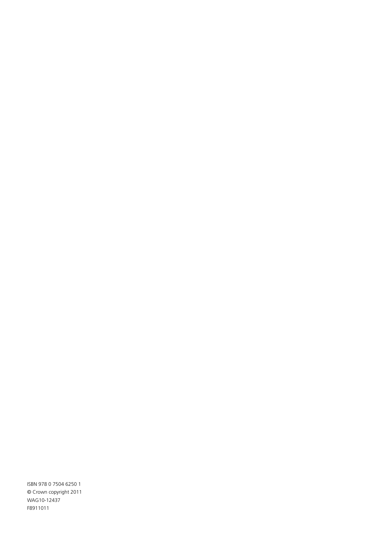ISBN 978 0 7504 6250 1 © Crown copyright 2011 WAG10-12437 F8911011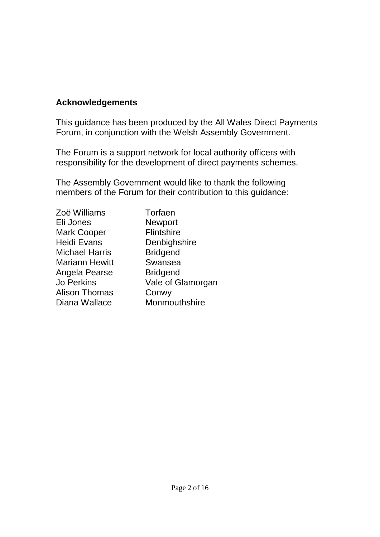### **Acknowledgements**

This guidance has been produced by the All Wales Direct Payments Forum, in conjunction with the Welsh Assembly Government.

The Forum is a support network for local authority officers with responsibility for the development of direct payments schemes.

The Assembly Government would like to thank the following members of the Forum for their contribution to this guidance:

**Torfaen Newport Flintshire** Denbighshire **Bridgend** Swansea **Bridgend** Vale of Glamorgan Conwy **Monmouthshire**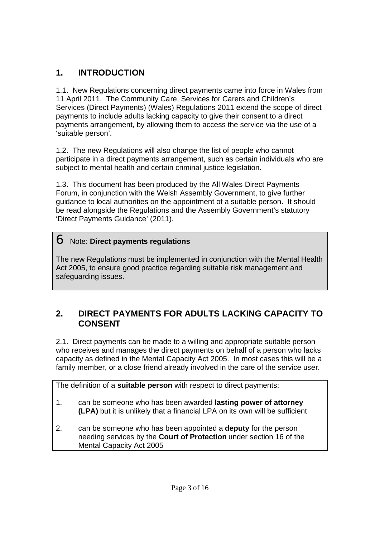### **1. INTRODUCTION**

1.1. New Regulations concerning direct payments came into force in Wales from 11 April 2011. The Community Care, Services for Carers and Children's Services (Direct Payments) (Wales) Regulations 2011 extend the scope of direct payments to include adults lacking capacity to give their consent to a direct payments arrangement, by allowing them to access the service via the use of a 'suitable person'.

1.2. The new Regulations will also change the list of people who cannot participate in a direct payments arrangement, such as certain individuals who are subject to mental health and certain criminal justice legislation.

1.3. This document has been produced by the All Wales Direct Payments Forum, in conjunction with the Welsh Assembly Government, to give further guidance to local authorities on the appointment of a suitable person. It should be read alongside the Regulations and the Assembly Government's statutory 'Direct Payments Guidance' (2011).

### Note: **Direct payments regulations**

The new Regulations must be implemented in conjunction with the Mental Health Act 2005, to ensure good practice regarding suitable risk management and safeguarding issues.

### **2. DIRECT PAYMENTS FOR ADULTS LACKING CAPACITY TO CONSENT**

2.1. Direct payments can be made to a willing and appropriate suitable person who receives and manages the direct payments on behalf of a person who lacks capacity as defined in the Mental Capacity Act 2005. In most cases this will be a family member, or a close friend already involved in the care of the service user.

The definition of a **suitable person** with respect to direct payments:

- 1. can be someone who has been awarded **lasting power of attorney (LPA)** but it is unlikely that a financial LPA on its own will be sufficient
- 2. can be someone who has been appointed a **deputy** for the person needing services by the **Court of Protection** under section 16 of the Mental Capacity Act 2005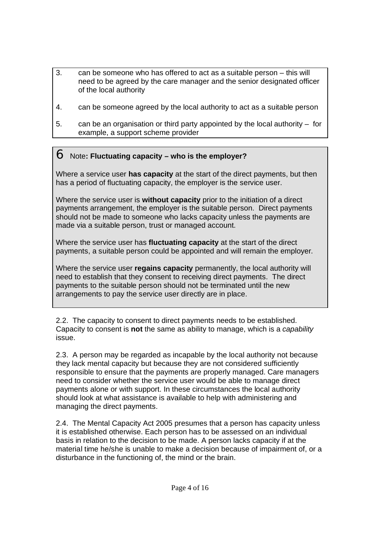- 3. can be someone who has offered to act as a suitable person this will need to be agreed by the care manager and the senior designated officer of the local authority
- 4. can be someone agreed by the local authority to act as a suitable person
- 5. can be an organisation or third party appointed by the local authority for example, a support scheme provider

#### Note**: Fluctuating capacity – who is the employer?**

Where a service user **has capacity** at the start of the direct payments, but then has a period of fluctuating capacity, the employer is the service user.

Where the service user is **without capacity** prior to the initiation of a direct payments arrangement, the employer is the suitable person. Direct payments should not be made to someone who lacks capacity unless the payments are made via a suitable person, trust or managed account.

Where the service user has **fluctuating capacity** at the start of the direct payments, a suitable person could be appointed and will remain the employer.

Where the service user **regains capacity** permanently, the local authority will need to establish that they consent to receiving direct payments. The direct payments to the suitable person should not be terminated until the new arrangements to pay the service user directly are in place.

2.2. The capacity to consent to direct payments needs to be established. Capacity to consent is **not** the same as ability to manage, which is a *capability* issue.

2.3. A person may be regarded as incapable by the local authority not because they lack mental capacity but because they are not considered sufficiently responsible to ensure that the payments are properly managed. Care managers need to consider whether the service user would be able to manage direct payments alone or with support. In these circumstances the local authority should look at what assistance is available to help with administering and managing the direct payments.

2.4. The Mental Capacity Act 2005 presumes that a person has capacity unless it is established otherwise. Each person has to be assessed on an individual basis in relation to the decision to be made. A person lacks capacity if at the material time he/she is unable to make a decision because of impairment of, or a disturbance in the functioning of, the mind or the brain.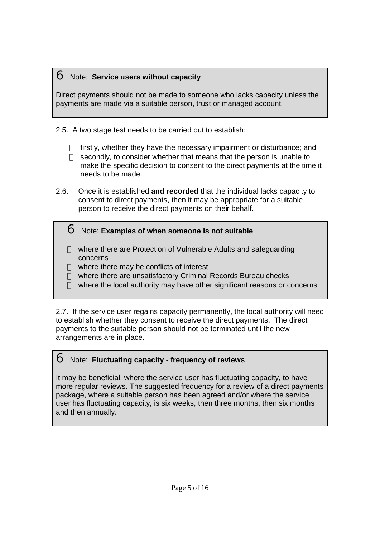#### Note: **Service users without capacity**

Direct payments should not be made to someone who lacks capacity unless the payments are made via a suitable person, trust or managed account.

2.5. A two stage test needs to be carried out to establish:

firstly, whether they have the necessary impairment or disturbance; and secondly, to consider whether that means that the person is unable to make the specific decision to consent to the direct payments at the time it needs to be made.

2.6. Once it is established **and recorded** that the individual lacks capacity to consent to direct payments, then it may be appropriate for a suitable person to receive the direct payments on their behalf.

### Note: **Examples of when someone is not suitable**

where there are Protection of Vulnerable Adults and safeguarding concerns where there may be conflicts of interest where there are unsatisfactory Criminal Records Bureau checks where the local authority may have other significant reasons or concerns

2.7. If the service user regains capacity permanently, the local authority will need to establish whether they consent to receive the direct payments. The direct payments to the suitable person should not be terminated until the new arrangements are in place.

### Note: **Fluctuating capacity - frequency of reviews**

It may be beneficial, where the service user has fluctuating capacity, to have more regular reviews. The suggested frequency for a review of a direct payments package, where a suitable person has been agreed and/or where the service user has fluctuating capacity, is six weeks, then three months, then six months and then annually.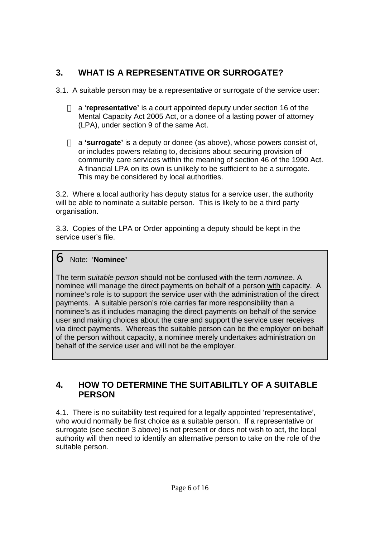# **3. WHAT IS A REPRESENTATIVE OR SURROGATE?**

3.1. A suitable person may be a representative or surrogate of the service user:

a '**representative'** is a court appointed deputy under section 16 of the Mental Capacity Act 2005 Act, or a donee of a lasting power of attorney (LPA), under section 9 of the same Act.

a **'surrogate'** is a deputy or donee (as above), whose powers consist of, or includes powers relating to, decisions about securing provision of community care services within the meaning of section 46 of the 1990 Act. A financial LPA on its own is unlikely to be sufficient to be a surrogate. This may be considered by local authorities.

3.2. Where a local authority has deputy status for a service user, the authority will be able to nominate a suitable person. This is likely to be a third party organisation.

3.3. Copies of the LPA or Order appointing a deputy should be kept in the service user's file.

### Note: '**Nominee'**

The term *suitable person* should not be confused with the term *nominee*. A nominee will manage the direct payments on behalf of a person with capacity. A nominee's role is to support the service user with the administration of the direct payments. A suitable person's role carries far more responsibility than a nominee's as it includes managing the direct payments on behalf of the service user and making choices about the care and support the service user receives via direct payments. Whereas the suitable person can be the employer on behalf of the person without capacity, a nominee merely undertakes administration on behalf of the service user and will not be the employer.

### **4. HOW TO DETERMINE THE SUITABILITLY OF A SUITABLE PERSON**

4.1. There is no suitability test required for a legally appointed 'representative', who would normally be first choice as a suitable person. If a representative or surrogate (see section 3 above) is not present or does not wish to act, the local authority will then need to identify an alternative person to take on the role of the suitable person.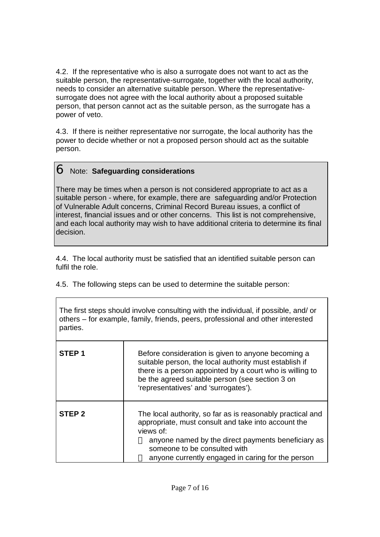4.2. If the representative who is also a surrogate does not want to act as the suitable person, the representative-surrogate, together with the local authority, needs to consider an alternative suitable person. Where the representativesurrogate does not agree with the local authority about a proposed suitable person, that person cannot act as the suitable person, as the surrogate has a power of veto.

4.3. If there is neither representative nor surrogate, the local authority has the power to decide whether or not a proposed person should act as the suitable person.

#### Note: **Safeguarding considerations**

There may be times when a person is not considered appropriate to act as a suitable person - where, for example, there are safeguarding and/or Protection of Vulnerable Adult concerns, Criminal Record Bureau issues, a conflict of interest, financial issues and or other concerns. This list is not comprehensive, and each local authority may wish to have additional criteria to determine its final decision.

4.4. The local authority must be satisfied that an identified suitable person can fulfil the role.

4.5. The following steps can be used to determine the suitable person:

The first steps should involve consulting with the individual, if possible, and/ or others – for example, family, friends, peers, professional and other interested parties.

| STEP <sub>1</sub> | Before consideration is given to anyone becoming a<br>suitable person, the local authority must establish if<br>there is a person appointed by a court who is willing to<br>be the agreed suitable person (see section 3 on<br>'representatives' and 'surrogates').       |
|-------------------|---------------------------------------------------------------------------------------------------------------------------------------------------------------------------------------------------------------------------------------------------------------------------|
| STEP <sub>2</sub> | The local authority, so far as is reasonably practical and<br>appropriate, must consult and take into account the<br>views of:<br>anyone named by the direct payments beneficiary as<br>someone to be consulted with<br>anyone currently engaged in caring for the person |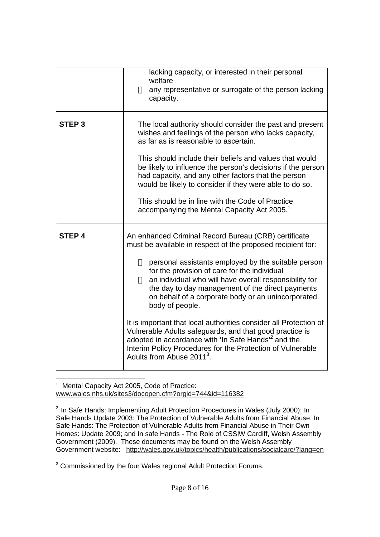|                   | lacking capacity, or interested in their personal<br>welfare<br>any representative or surrogate of the person lacking<br>capacity.                                                                                                                                                                                                                                                                                                                                                                                                                                                                                                                                                                                          |
|-------------------|-----------------------------------------------------------------------------------------------------------------------------------------------------------------------------------------------------------------------------------------------------------------------------------------------------------------------------------------------------------------------------------------------------------------------------------------------------------------------------------------------------------------------------------------------------------------------------------------------------------------------------------------------------------------------------------------------------------------------------|
| STEP <sub>3</sub> | The local authority should consider the past and present<br>wishes and feelings of the person who lacks capacity,<br>as far as is reasonable to ascertain.<br>This should include their beliefs and values that would<br>be likely to influence the person's decisions if the person<br>had capacity, and any other factors that the person<br>would be likely to consider if they were able to do so.<br>This should be in line with the Code of Practice<br>accompanying the Mental Capacity Act 2005. <sup>1</sup>                                                                                                                                                                                                       |
| <b>STEP 4</b>     | An enhanced Criminal Record Bureau (CRB) certificate<br>must be available in respect of the proposed recipient for:<br>personal assistants employed by the suitable person<br>for the provision of care for the individual<br>an individual who will have overall responsibility for<br>the day to day management of the direct payments<br>on behalf of a corporate body or an unincorporated<br>body of people.<br>It is important that local authorities consider all Protection of<br>Vulnerable Adults safeguards, and that good practice is<br>adopted in accordance with 'In Safe Hands' <sup>2</sup> and the<br>Interim Policy Procedures for the Protection of Vulnerable<br>Adults from Abuse 2011 <sup>3</sup> . |

l 1 Mental Capacity Act 2005, Code of Practice: www.wales.nhs.uk/sites3/docopen.cfm?orgid=744&id=116382

<sup>&</sup>lt;sup>2</sup> In Safe Hands: Implementing Adult Protection Procedures in Wales (July 2000); In Safe Hands Update 2003: The Protection of Vulnerable Adults from Financial Abuse; In Safe Hands: The Protection of Vulnerable Adults from Financial Abuse in Their Own Homes: Update 2009; and In safe Hands - The Role of CSSIW Cardiff, Welsh Assembly Government (2009). These documents may be found on the Welsh Assembly Government website: http://wales.gov.uk/topics/health/publications/socialcare/?lang=en

<sup>&</sup>lt;sup>3</sup> Commissioned by the four Wales regional Adult Protection Forums.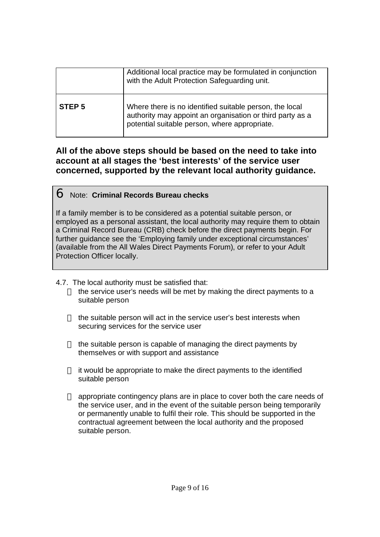|                   | Additional local practice may be formulated in conjunction<br>with the Adult Protection Safeguarding unit.                                                            |
|-------------------|-----------------------------------------------------------------------------------------------------------------------------------------------------------------------|
| STEP <sub>5</sub> | Where there is no identified suitable person, the local<br>authority may appoint an organisation or third party as a<br>potential suitable person, where appropriate. |

### **All of the above steps should be based on the need to take into account at all stages the 'best interests' of the service user concerned, supported by the relevant local authority guidance.**

#### Note: **Criminal Records Bureau checks**

If a family member is to be considered as a potential suitable person, or employed as a personal assistant, the local authority may require them to obtain a Criminal Record Bureau (CRB) check before the direct payments begin. For further guidance see the 'Employing family under exceptional circumstances' (available from the All Wales Direct Payments Forum), or refer to your Adult Protection Officer locally.

4.7. The local authority must be satisfied that:

the service user's needs will be met by making the direct payments to a suitable person

the suitable person will act in the service user's best interests when securing services for the service user

the suitable person is capable of managing the direct payments by themselves or with support and assistance

it would be appropriate to make the direct payments to the identified suitable person

appropriate contingency plans are in place to cover both the care needs of the service user, and in the event of the suitable person being temporarily or permanently unable to fulfil their role. This should be supported in the contractual agreement between the local authority and the proposed suitable person.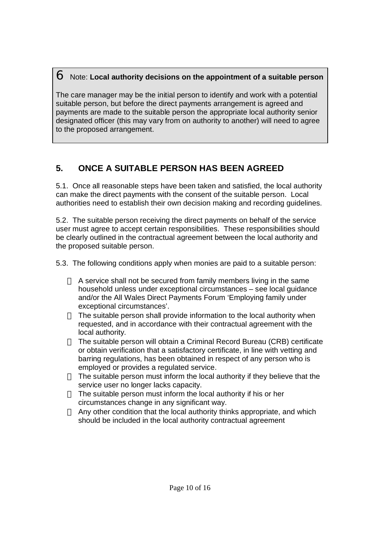#### Note: **Local authority decisions on the appointment of a suitable person**

The care manager may be the initial person to identify and work with a potential suitable person, but before the direct payments arrangement is agreed and payments are made to the suitable person the appropriate local authority senior designated officer (this may vary from on authority to another) will need to agree to the proposed arrangement.

# **5. ONCE A SUITABLE PERSON HAS BEEN AGREED**

5.1. Once all reasonable steps have been taken and satisfied, the local authority can make the direct payments with the consent of the suitable person. Local authorities need to establish their own decision making and recording guidelines.

5.2. The suitable person receiving the direct payments on behalf of the service user must agree to accept certain responsibilities. These responsibilities should be clearly outlined in the contractual agreement between the local authority and the proposed suitable person.

5.3. The following conditions apply when monies are paid to a suitable person:

A service shall not be secured from family members living in the same household unless under exceptional circumstances – see local guidance and/or the All Wales Direct Payments Forum 'Employing family under exceptional circumstances'.

The suitable person shall provide information to the local authority when requested, and in accordance with their contractual agreement with the local authority.

The suitable person will obtain a Criminal Record Bureau (CRB) certificate or obtain verification that a satisfactory certificate, in line with vetting and barring regulations, has been obtained in respect of any person who is employed or provides a regulated service.

The suitable person must inform the local authority if they believe that the service user no longer lacks capacity.

The suitable person must inform the local authority if his or her circumstances change in any significant way.

Any other condition that the local authority thinks appropriate, and which should be included in the local authority contractual agreement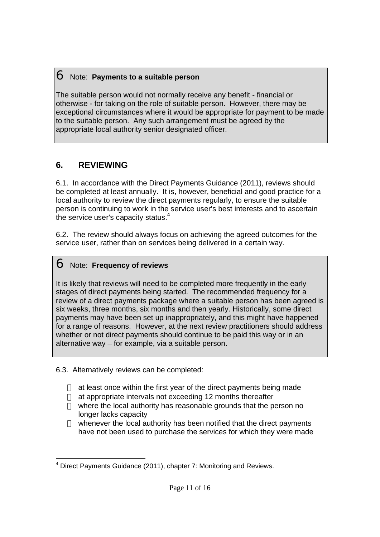#### Note: **Payments to a suitable person**

The suitable person would not normally receive any benefit - financial or otherwise - for taking on the role of suitable person. However, there may be exceptional circumstances where it would be appropriate for payment to be made to the suitable person. Any such arrangement must be agreed by the appropriate local authority senior designated officer.

### **6. REVIEWING**

6.1. In accordance with the Direct Payments Guidance (2011), reviews should be completed at least annually. It is, however, beneficial and good practice for a local authority to review the direct payments regularly, to ensure the suitable person is continuing to work in the service user's best interests and to ascertain the service user's capacity status. $4$ 

6.2. The review should always focus on achieving the agreed outcomes for the service user, rather than on services being delivered in a certain way.

### Note: **Frequency of reviews**

It is likely that reviews will need to be completed more frequently in the early stages of direct payments being started. The recommended frequency for a review of a direct payments package where a suitable person has been agreed is six weeks, three months, six months and then yearly. Historically, some direct payments may have been set up inappropriately, and this might have happened for a range of reasons. However, at the next review practitioners should address whether or not direct payments should continue to be paid this way or in an alternative way – for example, via a suitable person.

6.3. Alternatively reviews can be completed:

at least once within the first year of the direct payments being made at appropriate intervals not exceeding 12 months thereafter where the local authority has reasonable grounds that the person no longer lacks capacity

whenever the local authority has been notified that the direct payments have not been used to purchase the services for which they were made

l <sup>4</sup> Direct Payments Guidance (2011), chapter 7: Monitoring and Reviews.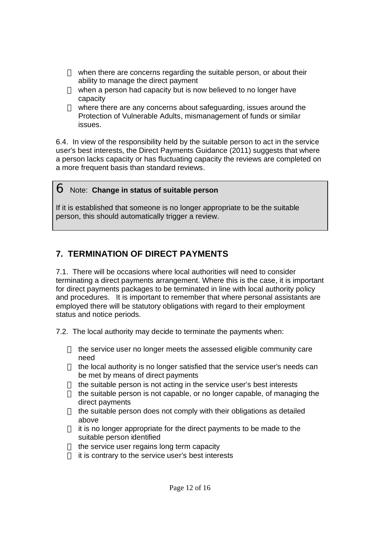when there are concerns regarding the suitable person, or about their ability to manage the direct payment when a person had capacity but is now believed to no longer have capacity

where there are any concerns about safeguarding, issues around the Protection of Vulnerable Adults, mismanagement of funds or similar issues.

6.4. In view of the responsibility held by the suitable person to act in the service user's best interests, the Direct Payments Guidance (2011) suggests that where a person lacks capacity or has fluctuating capacity the reviews are completed on a more frequent basis than standard reviews.

#### Note: **Change in status of suitable person**

If it is established that someone is no longer appropriate to be the suitable person, this should automatically trigger a review.

### **7. TERMINATION OF DIRECT PAYMENTS**

7.1. There will be occasions where local authorities will need to consider terminating a direct payments arrangement. Where this is the case, it is important for direct payments packages to be terminated in line with local authority policy and procedures. It is important to remember that where personal assistants are employed there will be statutory obligations with regard to their employment status and notice periods.

7.2. The local authority may decide to terminate the payments when:

the service user no longer meets the assessed eligible community care need

the local authority is no longer satisfied that the service user's needs can be met by means of direct payments

the suitable person is not acting in the service user's best interests the suitable person is not capable, or no longer capable, of managing the direct payments

the suitable person does not comply with their obligations as detailed above

it is no longer appropriate for the direct payments to be made to the suitable person identified

the service user regains long term capacity

it is contrary to the service user's best interests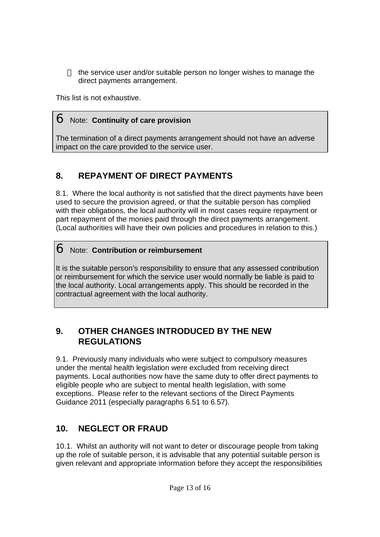the service user and/or suitable person no longer wishes to manage the direct payments arrangement.

This list is not exhaustive.

### Note: **Continuity of care provision**

The termination of a direct payments arrangement should not have an adverse impact on the care provided to the service user.

### **8. REPAYMENT OF DIRECT PAYMENTS**

8.1. Where the local authority is not satisfied that the direct payments have been used to secure the provision agreed, or that the suitable person has complied with their obligations, the local authority will in most cases require repayment or part repayment of the monies paid through the direct payments arrangement. (Local authorities will have their own policies and procedures in relation to this.)

### Note: **Contribution or reimbursement**

It is the suitable person's responsibility to ensure that any assessed contribution or reimbursement for which the service user would normally be liable is paid to the local authority. Local arrangements apply. This should be recorded in the contractual agreement with the local authority.

### **9. OTHER CHANGES INTRODUCED BY THE NEW REGULATIONS**

9.1. Previously many individuals who were subject to compulsory measures under the mental health legislation were excluded from receiving direct payments. Local authorities now have the same duty to offer direct payments to eligible people who are subject to mental health legislation, with some exceptions. Please refer to the relevant sections of the Direct Payments Guidance 2011 (especially paragraphs 6.51 to 6.57).

### **10. NEGLECT OR FRAUD**

10.1. Whilst an authority will not want to deter or discourage people from taking up the role of suitable person, it is advisable that any potential suitable person is given relevant and appropriate information before they accept the responsibilities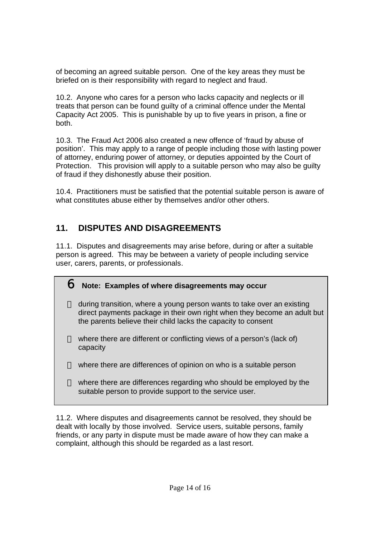of becoming an agreed suitable person. One of the key areas they must be briefed on is their responsibility with regard to neglect and fraud.

10.2. Anyone who cares for a person who lacks capacity and neglects or ill treats that person can be found guilty of a criminal offence under the Mental Capacity Act 2005. This is punishable by up to five years in prison, a fine or both.

10.3. The Fraud Act 2006 also created a new offence of 'fraud by abuse of position'. This may apply to a range of people including those with lasting power of attorney, enduring power of attorney, or deputies appointed by the Court of Protection. This provision will apply to a suitable person who may also be guilty of fraud if they dishonestly abuse their position.

10.4. Practitioners must be satisfied that the potential suitable person is aware of what constitutes abuse either by themselves and/or other others.

### **11. DISPUTES AND DISAGREEMENTS**

11.1. Disputes and disagreements may arise before, during or after a suitable person is agreed. This may be between a variety of people including service user, carers, parents, or professionals.

### **Note: Examples of where disagreements may occur**

during transition, where a young person wants to take over an existing direct payments package in their own right when they become an adult but the parents believe their child lacks the capacity to consent

where there are different or conflicting views of a person's (lack of) capacity

where there are differences of opinion on who is a suitable person

where there are differences regarding who should be employed by the suitable person to provide support to the service user.

11.2. Where disputes and disagreements cannot be resolved, they should be dealt with locally by those involved. Service users, suitable persons, family friends, or any party in dispute must be made aware of how they can make a complaint, although this should be regarded as a last resort.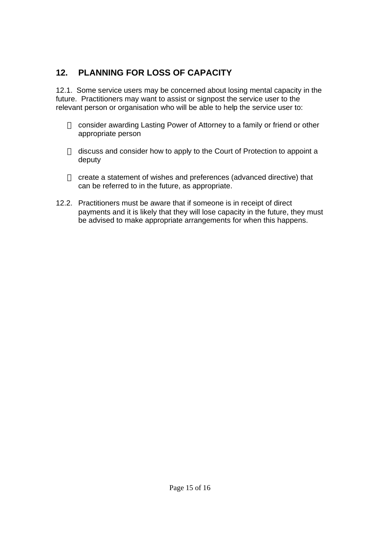### **12. PLANNING FOR LOSS OF CAPACITY**

12.1. Some service users may be concerned about losing mental capacity in the future. Practitioners may want to assist or signpost the service user to the relevant person or organisation who will be able to help the service user to:

consider awarding Lasting Power of Attorney to a family or friend or other appropriate person

discuss and consider how to apply to the Court of Protection to appoint a deputy

create a statement of wishes and preferences (advanced directive) that can be referred to in the future, as appropriate.

12.2. Practitioners must be aware that if someone is in receipt of direct payments and it is likely that they will lose capacity in the future, they must be advised to make appropriate arrangements for when this happens.